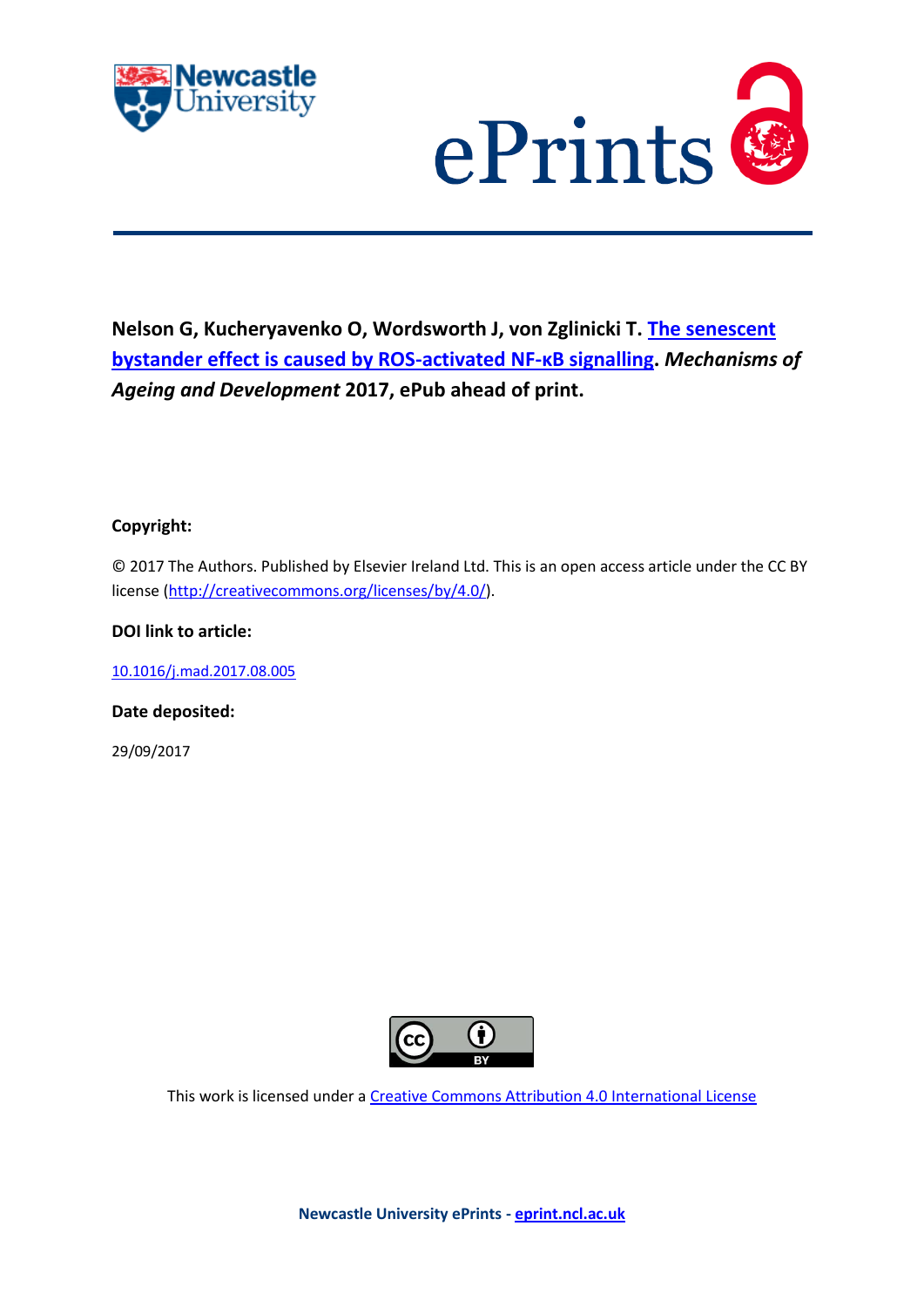



# **Nelson G, Kucheryavenko O, Wordsworth J, von Zglinicki T. [The senescent](http://eprint.ncl.ac.uk/pub_details2.aspx?pub_id=241559)  [bystander effect is caused by ROS-activated NF-](http://eprint.ncl.ac.uk/pub_details2.aspx?pub_id=241559)κB signalling.** *Mechanisms of Ageing and Development* **2017, ePub ahead of print.**

## **Copyright:**

© 2017 The Authors. Published by Elsevier Ireland Ltd. This is an open access article under the CC BY license [\(http://creativecommons.org/licenses/by/4.0/\)](http://creativecommons.org/licenses/by/4.0/).

**DOI link to article:**

[10.1016/j.mad.2017.08.005](https://doi.org/10.1016/j.mad.2017.08.005)

**Date deposited:** 

29/09/2017



This work is licensed under [a Creative Commons Attribution 4.0 International License](http://creativecommons.org/licenses/by/4.0/)

**Newcastle University ePrints - [eprint.ncl.ac.uk](http://eprint.ncl.ac.uk/)**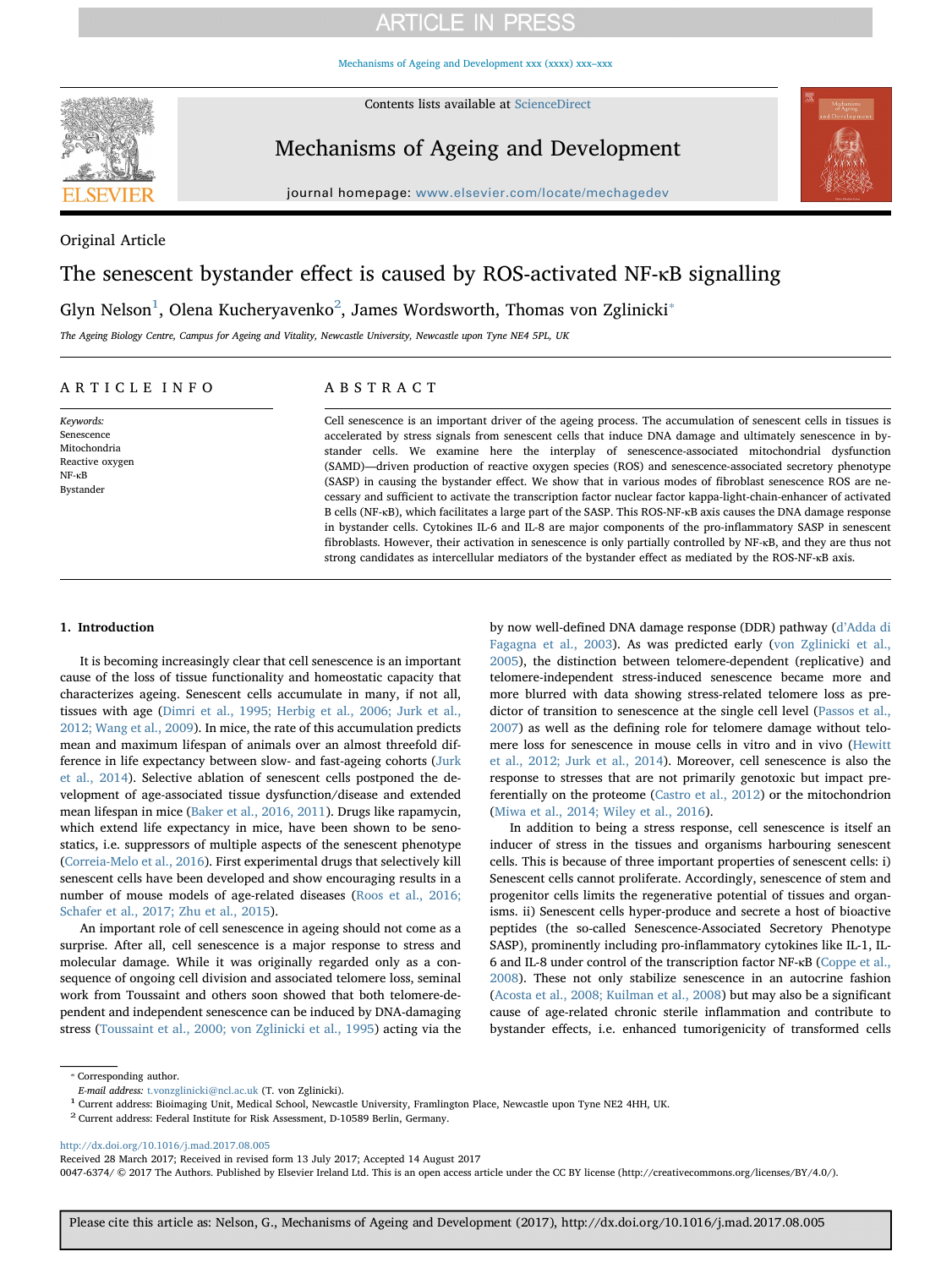## **ARTICLE IN PRESS**

[Mechanisms of Ageing and Development xxx \(xxxx\) xxx–xxx](http://dx.doi.org/10.1016/j.mad.2017.08.005)



Contents lists available at [ScienceDirect](http://www.sciencedirect.com/science/journal/00476374)

Mechanisms of Ageing and Development



journal homepage: [www.elsevier.com/locate/mechagedev](http://www.elsevier.com/locate/mechagedev)

Original Article

## The senescent bystander effect is caused by ROS-activated NF-κB signalling

Glyn Nelson $^1$  $^1$ , Olena Kucheryavenko $^2$  $^2$ , James Wordsworth, Thomas von Zglinicki $^\ast$ 

The Ageing Biology Centre, Campus for Ageing and Vitality, Newcastle University, Newcastle upon Tyne NE4 5PL, UK

### ARTICLE INFO

Keywords: Senescence Mitochondria Reactive oxygen NF-κB Bystander

### ABSTRACT

Cell senescence is an important driver of the ageing process. The accumulation of senescent cells in tissues is accelerated by stress signals from senescent cells that induce DNA damage and ultimately senescence in bystander cells. We examine here the interplay of senescence-associated mitochondrial dysfunction (SAMD)—driven production of reactive oxygen species (ROS) and senescence-associated secretory phenotype (SASP) in causing the bystander effect. We show that in various modes of fibroblast senescence ROS are necessary and sufficient to activate the transcription factor nuclear factor kappa-light-chain-enhancer of activated B cells (NF-κB), which facilitates a large part of the SASP. This ROS-NF-κB axis causes the DNA damage response in bystander cells. Cytokines IL-6 and IL-8 are major components of the pro-inflammatory SASP in senescent fibroblasts. However, their activation in senescence is only partially controlled by NF-κB, and they are thus not strong candidates as intercellular mediators of the bystander effect as mediated by the ROS-NF-κB axis.

#### 1. Introduction

It is becoming increasingly clear that cell senescence is an important cause of the loss of tissue functionality and homeostatic capacity that characterizes ageing. Senescent cells accumulate in many, if not all, tissues with age ([Dimri et al., 1995; Herbig et al., 2006; Jurk et al.,](#page-7-0) [2012; Wang et al., 2009](#page-7-0)). In mice, the rate of this accumulation predicts mean and maximum lifespan of animals over an almost threefold difference in life expectancy between slow- and fast-ageing cohorts ([Jurk](#page-7-1) [et al., 2014](#page-7-1)). Selective ablation of senescent cells postponed the development of age-associated tissue dysfunction/disease and extended mean lifespan in mice ([Baker et al., 2016, 2011\)](#page-7-2). Drugs like rapamycin, which extend life expectancy in mice, have been shown to be senostatics, i.e. suppressors of multiple aspects of the senescent phenotype ([Correia-Melo et al., 2016\)](#page-7-3). First experimental drugs that selectively kill senescent cells have been developed and show encouraging results in a number of mouse models of age-related diseases ([Roos et al., 2016;](#page-7-4) [Schafer et al., 2017; Zhu et al., 2015](#page-7-4)).

An important role of cell senescence in ageing should not come as a surprise. After all, cell senescence is a major response to stress and molecular damage. While it was originally regarded only as a consequence of ongoing cell division and associated telomere loss, seminal work from Toussaint and others soon showed that both telomere-dependent and independent senescence can be induced by DNA-damaging stress [\(Toussaint et al., 2000; von Zglinicki et al., 1995](#page-7-5)) acting via the by now well-defined DNA damage response (DDR) pathway (d'[Adda di](#page-7-6) [Fagagna et al., 2003](#page-7-6)). As was predicted early [\(von Zglinicki et al.,](#page-7-7) [2005\)](#page-7-7), the distinction between telomere-dependent (replicative) and telomere-independent stress-induced senescence became more and more blurred with data showing stress-related telomere loss as predictor of transition to senescence at the single cell level [\(Passos et al.,](#page-7-8) [2007\)](#page-7-8) as well as the defining role for telomere damage without telomere loss for senescence in mouse cells in vitro and in vivo ([Hewitt](#page-7-9) [et al., 2012; Jurk et al., 2014](#page-7-9)). Moreover, cell senescence is also the response to stresses that are not primarily genotoxic but impact preferentially on the proteome ([Castro et al., 2012\)](#page-7-10) or the mitochondrion ([Miwa et al., 2014; Wiley et al., 2016](#page-7-11)).

In addition to being a stress response, cell senescence is itself an inducer of stress in the tissues and organisms harbouring senescent cells. This is because of three important properties of senescent cells: i) Senescent cells cannot proliferate. Accordingly, senescence of stem and progenitor cells limits the regenerative potential of tissues and organisms. ii) Senescent cells hyper-produce and secrete a host of bioactive peptides (the so-called Senescence-Associated Secretory Phenotype SASP), prominently including pro-inflammatory cytokines like IL-1, IL-6 and IL-8 under control of the transcription factor NF-κB ([Coppe et al.,](#page-7-12) [2008\)](#page-7-12). These not only stabilize senescence in an autocrine fashion ([Acosta et al., 2008; Kuilman et al., 2008\)](#page-6-0) but may also be a significant cause of age-related chronic sterile inflammation and contribute to bystander effects, i.e. enhanced tumorigenicity of transformed cells

<span id="page-1-0"></span><sup>1</sup> Current address: Bioimaging Unit, Medical School, Newcastle University, Framlington Place, Newcastle upon Tyne NE2 4HH, UK.

<span id="page-1-1"></span> $^2$  Current address: Federal Institute for Risk Assessment, D-10589 Berlin, Germany.

<http://dx.doi.org/10.1016/j.mad.2017.08.005>

Received 28 March 2017; Received in revised form 13 July 2017; Accepted 14 August 2017

0047-6374/ © 2017 The Authors. Published by Elsevier Ireland Ltd. This is an open access article under the CC BY license (http://creativecommons.org/licenses/BY/4.0/).

<span id="page-1-2"></span><sup>⁎</sup> Corresponding author.

E-mail address: [t.vonzglinicki@ncl.ac.uk](mailto:t.vonzglinicki@ncl.ac.uk) (T. von Zglinicki).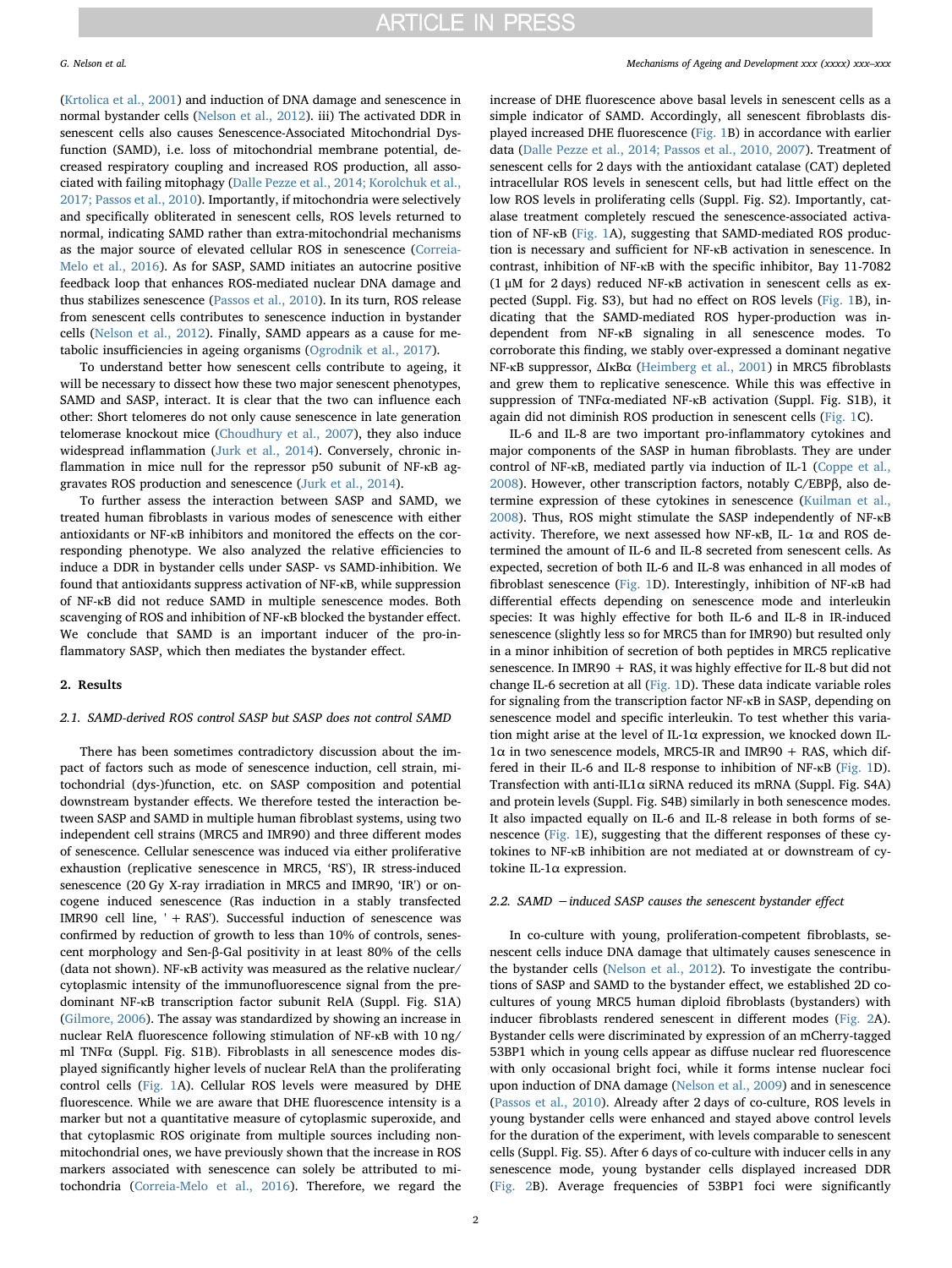([Krtolica et al., 2001\)](#page-7-13) and induction of DNA damage and senescence in normal bystander cells ([Nelson et al., 2012](#page-7-14)). iii) The activated DDR in senescent cells also causes Senescence-Associated Mitochondrial Dysfunction (SAMD), i.e. loss of mitochondrial membrane potential, decreased respiratory coupling and increased ROS production, all associated with failing mitophagy ([Dalle Pezze et al., 2014; Korolchuk et al.,](#page-7-15) [2017; Passos et al., 2010](#page-7-15)). Importantly, if mitochondria were selectively and specifically obliterated in senescent cells, ROS levels returned to normal, indicating SAMD rather than extra-mitochondrial mechanisms as the major source of elevated cellular ROS in senescence [\(Correia-](#page-7-3)[Melo et al., 2016\)](#page-7-3). As for SASP, SAMD initiates an autocrine positive feedback loop that enhances ROS-mediated nuclear DNA damage and thus stabilizes senescence ([Passos et al., 2010](#page-7-16)). In its turn, ROS release from senescent cells contributes to senescence induction in bystander cells [\(Nelson et al., 2012](#page-7-14)). Finally, SAMD appears as a cause for metabolic insufficiencies in ageing organisms ([Ogrodnik et al., 2017](#page-7-17)).

To understand better how senescent cells contribute to ageing, it will be necessary to dissect how these two major senescent phenotypes, SAMD and SASP, interact. It is clear that the two can influence each other: Short telomeres do not only cause senescence in late generation telomerase knockout mice [\(Choudhury et al., 2007](#page-7-18)), they also induce widespread inflammation [\(Jurk et al., 2014](#page-7-1)). Conversely, chronic inflammation in mice null for the repressor p50 subunit of NF-κB aggravates ROS production and senescence ([Jurk et al., 2014\)](#page-7-1).

To further assess the interaction between SASP and SAMD, we treated human fibroblasts in various modes of senescence with either antioxidants or NF-κB inhibitors and monitored the effects on the corresponding phenotype. We also analyzed the relative efficiencies to induce a DDR in bystander cells under SASP- vs SAMD-inhibition. We found that antioxidants suppress activation of NF-κB, while suppression of NF-κB did not reduce SAMD in multiple senescence modes. Both scavenging of ROS and inhibition of NF-κB blocked the bystander effect. We conclude that SAMD is an important inducer of the pro-inflammatory SASP, which then mediates the bystander effect.

#### 2. Results

### 2.1. SAMD-derived ROS control SASP but SASP does not control SAMD

There has been sometimes contradictory discussion about the impact of factors such as mode of senescence induction, cell strain, mitochondrial (dys-)function, etc. on SASP composition and potential downstream bystander effects. We therefore tested the interaction between SASP and SAMD in multiple human fibroblast systems, using two independent cell strains (MRC5 and IMR90) and three different modes of senescence. Cellular senescence was induced via either proliferative exhaustion (replicative senescence in MRC5, 'RS'), IR stress-induced senescence (20 Gy X-ray irradiation in MRC5 and IMR90, 'IR') or oncogene induced senescence (Ras induction in a stably transfected IMR90 cell line, ' + RAS'). Successful induction of senescence was confirmed by reduction of growth to less than 10% of controls, senescent morphology and Sen-β-Gal positivity in at least 80% of the cells (data not shown). NF-κB activity was measured as the relative nuclear/ cytoplasmic intensity of the immunofluorescence signal from the predominant NF-κB transcription factor subunit RelA (Suppl. Fig. S1A) ([Gilmore, 2006](#page-7-19)). The assay was standardized by showing an increase in nuclear RelA fluorescence following stimulation of NF-κB with 10 ng/ ml TNFα (Suppl. Fig. S1B). Fibroblasts in all senescence modes displayed significantly higher levels of nuclear RelA than the proliferating control cells [\(Fig. 1](#page-3-0)A). Cellular ROS levels were measured by DHE fluorescence. While we are aware that DHE fluorescence intensity is a marker but not a quantitative measure of cytoplasmic superoxide, and that cytoplasmic ROS originate from multiple sources including nonmitochondrial ones, we have previously shown that the increase in ROS markers associated with senescence can solely be attributed to mitochondria [\(Correia-Melo et al., 2016\)](#page-7-3). Therefore, we regard the increase of DHE fluorescence above basal levels in senescent cells as a simple indicator of SAMD. Accordingly, all senescent fibroblasts displayed increased DHE fluorescence [\(Fig. 1](#page-3-0)B) in accordance with earlier data [\(Dalle Pezze et al., 2014; Passos et al., 2010, 2007](#page-7-15)). Treatment of senescent cells for 2 days with the antioxidant catalase (CAT) depleted intracellular ROS levels in senescent cells, but had little effect on the low ROS levels in proliferating cells (Suppl. Fig. S2). Importantly, catalase treatment completely rescued the senescence-associated activation of NF-κB ([Fig. 1](#page-3-0)A), suggesting that SAMD-mediated ROS production is necessary and sufficient for NF-κB activation in senescence. In contrast, inhibition of NF-κB with the specific inhibitor, Bay 11-7082 (1 μM for 2 days) reduced NF-κB activation in senescent cells as expected (Suppl. Fig. S3), but had no effect on ROS levels ([Fig. 1](#page-3-0)B), indicating that the SAMD-mediated ROS hyper-production was independent from NF-κB signaling in all senescence modes. To corroborate this finding, we stably over-expressed a dominant negative NF-κB suppressor, ΔIκBα (Heimberg [et al., 2001](#page-7-20)) in MRC5 fibroblasts and grew them to replicative senescence. While this was effective in suppression of TNFα-mediated NF-κB activation (Suppl. Fig. S1B), it again did not diminish ROS production in senescent cells [\(Fig. 1C](#page-3-0)).

IL-6 and IL-8 are two important pro-inflammatory cytokines and major components of the SASP in human fibroblasts. They are under control of NF-κB, mediated partly via induction of IL-1 ([Coppe et al.,](#page-7-12) [2008\)](#page-7-12). However, other transcription factors, notably C/EBPβ, also determine expression of these cytokines in senescence [\(Kuilman et al.,](#page-7-21) [2008\)](#page-7-21). Thus, ROS might stimulate the SASP independently of NF-κB activity. Therefore, we next assessed how NF- $\kappa$ B, IL- 1 $\alpha$  and ROS determined the amount of IL-6 and IL-8 secreted from senescent cells. As expected, secretion of both IL-6 and IL-8 was enhanced in all modes of fibroblast senescence ([Fig. 1D](#page-3-0)). Interestingly, inhibition of NF-κB had differential effects depending on senescence mode and interleukin species: It was highly effective for both IL-6 and IL-8 in IR-induced senescence (slightly less so for MRC5 than for IMR90) but resulted only in a minor inhibition of secretion of both peptides in MRC5 replicative senescence. In IMR90 + RAS, it was highly effective for IL-8 but did not change IL-6 secretion at all ([Fig. 1D](#page-3-0)). These data indicate variable roles for signaling from the transcription factor NF-κB in SASP, depending on senescence model and specific interleukin. To test whether this variation might arise at the level of IL-1 $\alpha$  expression, we knocked down IL- $1\alpha$  in two senescence models, MRC5-IR and IMR90 + RAS, which differed in their IL-6 and IL-8 response to inhibition of NF-κB [\(Fig. 1D](#page-3-0)). Transfection with anti-IL1 $\alpha$  siRNA reduced its mRNA (Suppl. Fig. S4A) and protein levels (Suppl. Fig. S4B) similarly in both senescence modes. It also impacted equally on IL-6 and IL-8 release in both forms of senescence ([Fig. 1](#page-3-0)E), suggesting that the different responses of these cytokines to NF-κB inhibition are not mediated at or downstream of cytokine IL-1α expression.

#### 2.2. SAMD – induced SASP causes the senescent bystander effect

In co-culture with young, proliferation-competent fibroblasts, senescent cells induce DNA damage that ultimately causes senescence in the bystander cells [\(Nelson et al., 2012](#page-7-14)). To investigate the contributions of SASP and SAMD to the bystander effect, we established 2D cocultures of young MRC5 human diploid fibroblasts (bystanders) with inducer fibroblasts rendered senescent in different modes [\(Fig. 2](#page-4-0)A). Bystander cells were discriminated by expression of an mCherry-tagged 53BP1 which in young cells appear as diffuse nuclear red fluorescence with only occasional bright foci, while it forms intense nuclear foci upon induction of DNA damage [\(Nelson et al., 2009\)](#page-7-22) and in senescence ([Passos et al., 2010](#page-7-16)). Already after 2 days of co-culture, ROS levels in young bystander cells were enhanced and stayed above control levels for the duration of the experiment, with levels comparable to senescent cells (Suppl. Fig. S5). After 6 days of co-culture with inducer cells in any senescence mode, young bystander cells displayed increased DDR ([Fig. 2](#page-4-0)B). Average frequencies of 53BP1 foci were significantly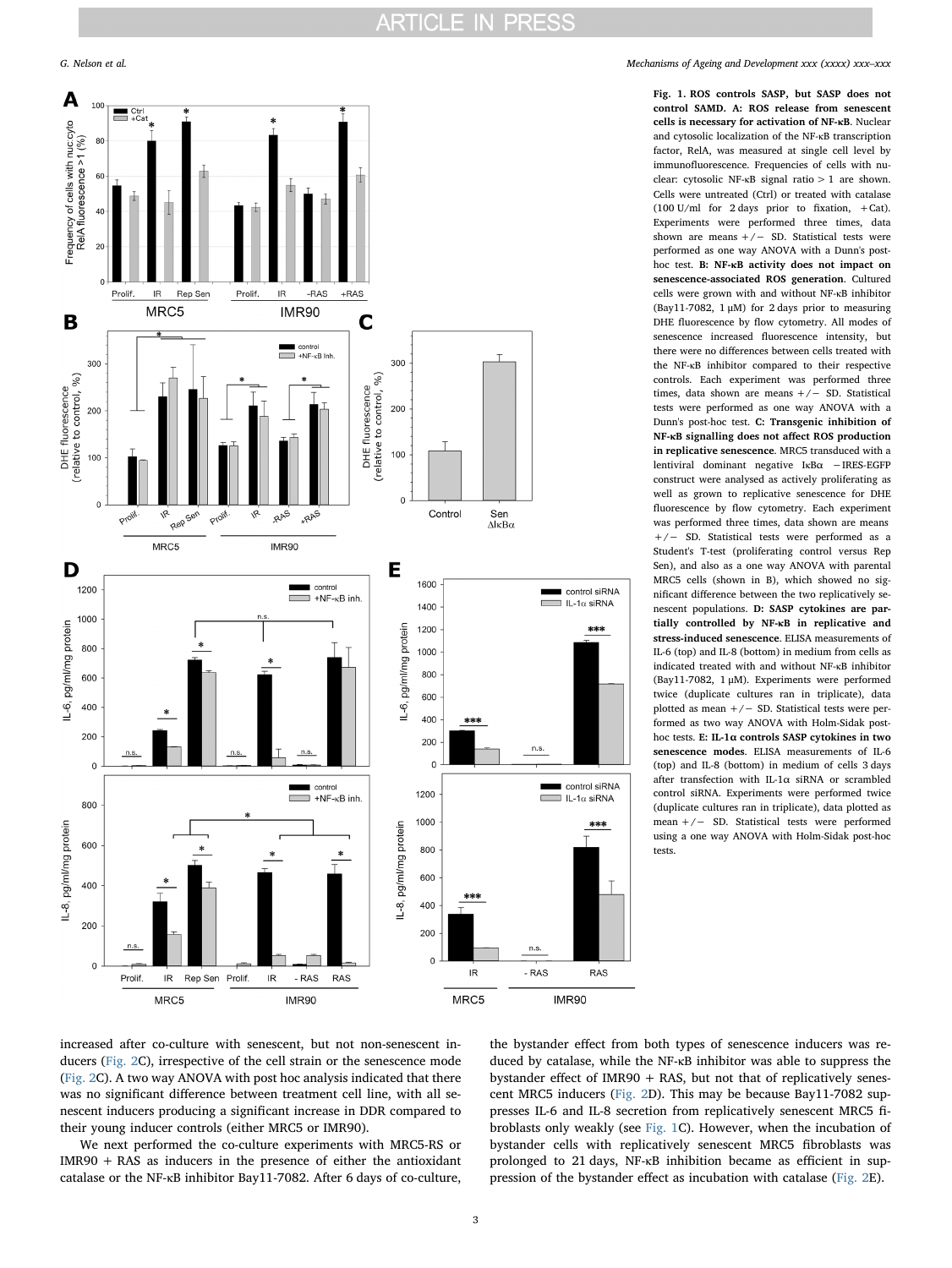<span id="page-3-0"></span>

G. Nelson et al. *Mechanisms of Ageing and Development xxx (xxxx) xxx–xxx*

Fig. 1. ROS controls SASP, but SASP does not control SAMD. A: ROS release from senescent cells is necessary for activation of NF-κB. Nuclear and cytosolic localization of the NF-κB transcription factor, RelA, was measured at single cell level by immunofluorescence. Frequencies of cells with nuclear: cytosolic NF-κB signal ratio > 1 are shown. Cells were untreated (Ctrl) or treated with catalase (100 U/ml for 2 days prior to fixation, +Cat). Experiments were performed three times, data shown are means  $+/-$  SD. Statistical tests were performed as one way ANOVA with a Dunn's posthoc test. B: NF-κB activity does not impact on senescence-associated ROS generation. Cultured cells were grown with and without NF-κB inhibitor (Bay11-7082, 1 μM) for 2 days prior to measuring DHE fluorescence by flow cytometry. All modes of senescence increased fluorescence intensity, but there were no differences between cells treated with the NF-κB inhibitor compared to their respective controls. Each experiment was performed three times, data shown are means  $+/-$  SD. Statistical tests were performed as one way ANOVA with a Dunn's post-hoc test. C: Transgenic inhibition of NF-κB signalling does not affect ROS production in replicative senescence. MRC5 transduced with a lentiviral dominant negative IκBα −IRES-EGFP construct were analysed as actively proliferating as well as grown to replicative senescence for DHE fluorescence by flow cytometry. Each experiment was performed three times, data shown are means +/− SD. Statistical tests were performed as a Student's T-test (proliferating control versus Rep Sen), and also as a one way ANOVA with parental MRC5 cells (shown in B), which showed no significant difference between the two replicatively senescent populations. D: SASP cytokines are partially controlled by NF-κB in replicative and stress-induced senescence. ELISA measurements of IL-6 (top) and IL-8 (bottom) in medium from cells as indicated treated with and without NF-κB inhibitor (Bay11-7082, 1 μM). Experiments were performed twice (duplicate cultures ran in triplicate), data plotted as mean  $+/-$  SD. Statistical tests were performed as two way ANOVA with Holm-Sidak posthoc tests. E: IL-1 $\alpha$  controls SASP cytokines in two senescence modes. ELISA measurements of IL-6 (top) and IL-8 (bottom) in medium of cells 3 days after transfection with  $II - 1\alpha$  siRNA or scrambled control siRNA. Experiments were performed twice (duplicate cultures ran in triplicate), data plotted as mean +/− SD. Statistical tests were performed using a one way ANOVA with Holm-Sidak post-hoc tests.

increased after co-culture with senescent, but not non-senescent inducers [\(Fig. 2](#page-4-0)C), irrespective of the cell strain or the senescence mode ([Fig. 2](#page-4-0)C). A two way ANOVA with post hoc analysis indicated that there was no significant difference between treatment cell line, with all senescent inducers producing a significant increase in DDR compared to their young inducer controls (either MRC5 or IMR90).

We next performed the co-culture experiments with MRC5-RS or IMR90 + RAS as inducers in the presence of either the antioxidant catalase or the NF-κB inhibitor Bay11-7082. After 6 days of co-culture,

the bystander effect from both types of senescence inducers was reduced by catalase, while the NF-κB inhibitor was able to suppress the bystander effect of IMR90 + RAS, but not that of replicatively senescent MRC5 inducers ([Fig. 2D](#page-4-0)). This may be because Bay11-7082 suppresses IL-6 and IL-8 secretion from replicatively senescent MRC5 fibroblasts only weakly (see [Fig. 1C](#page-3-0)). However, when the incubation of bystander cells with replicatively senescent MRC5 fibroblasts was prolonged to 21 days, NF-κB inhibition became as efficient in suppression of the bystander effect as incubation with catalase ([Fig. 2E](#page-4-0)).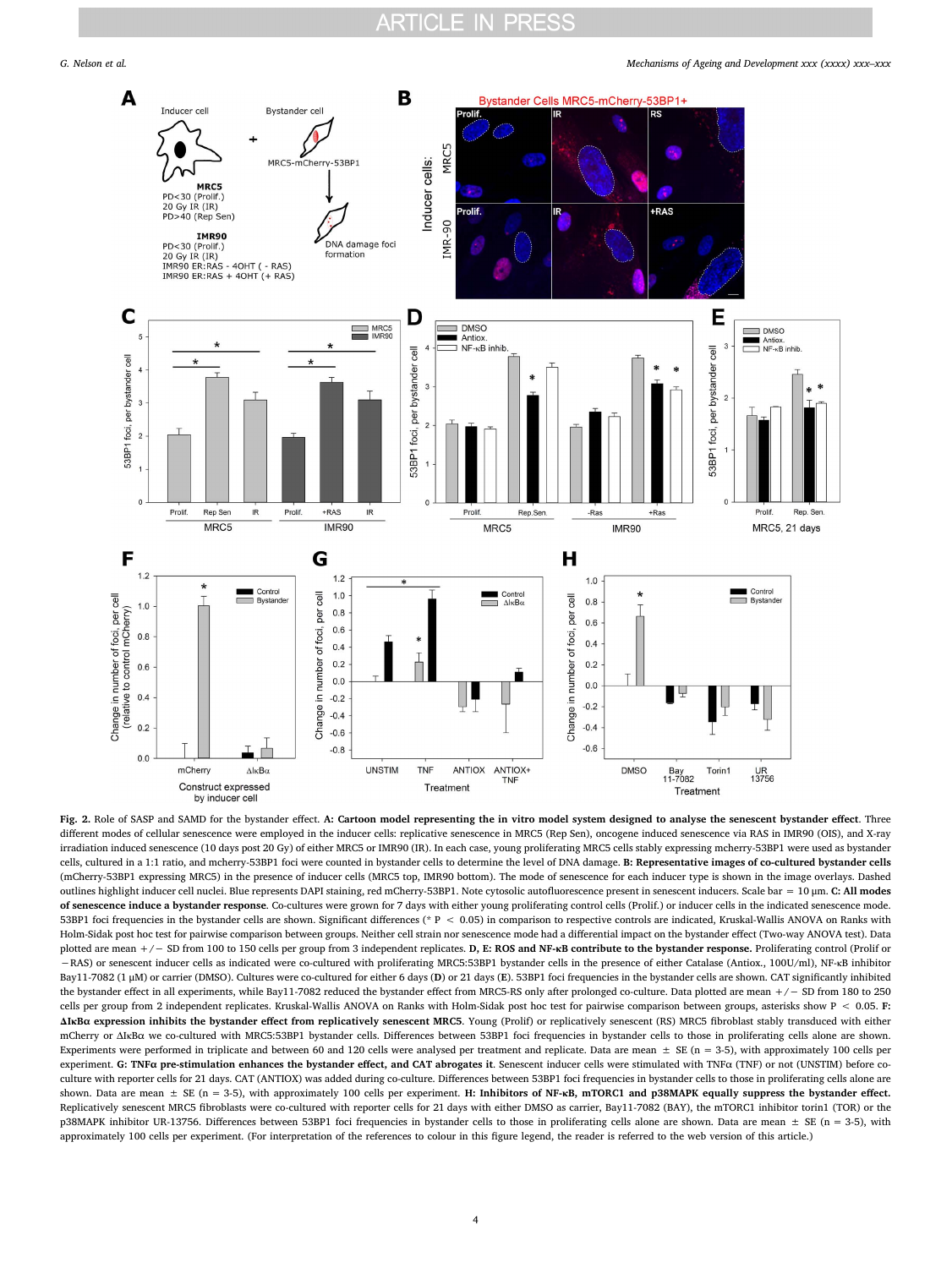<span id="page-4-0"></span>

Fig. 2. Role of SASP and SAMD for the bystander effect. A: Cartoon model representing the in vitro model system designed to analyse the senescent bystander effect. Three different modes of cellular senescence were employed in the inducer cells: replicative senescence in MRC5 (Rep Sen), oncogene induced senescence via RAS in IMR90 (OIS), and X-ray irradiation induced senescence (10 days post 20 Gy) of either MRC5 or IMR90 (IR). In each case, young proliferating MRC5 cells stably expressing mcherry-53BP1 were used as bystander cells, cultured in a 1:1 ratio, and mcherry-53BP1 foci were counted in bystander cells to determine the level of DNA damage. B: Representative images of co-cultured bystander cells (mCherry-53BP1 expressing MRC5) in the presence of inducer cells (MRC5 top, IMR90 bottom). The mode of senescence for each inducer type is shown in the image overlays. Dashed outlines highlight inducer cell nuclei. Blue represents DAPI staining, red mCherry-53BP1. Note cytosolic autofluorescence present in senescent inducers. Scale bar = 10 μm. C: All modes of senescence induce a bystander response. Co-cultures were grown for 7 days with either young proliferating control cells (Prolif.) or inducer cells in the indicated senescence mode. 53BP1 foci frequencies in the bystander cells are shown. Significant differences (\* P < 0.05) in comparison to respective controls are indicated, Kruskal-Wallis ANOVA on Ranks with Holm-Sidak post hoc test for pairwise comparison between groups. Neither cell strain nor senescence mode had a differential impact on the bystander effect (Two-way ANOVA test). Data plotted are mean +/− SD from 100 to 150 cells per group from 3 independent replicates. D, E: ROS and NF-κB contribute to the bystander response. Proliferating control (Prolif or −RAS) or senescent inducer cells as indicated were co-cultured with proliferating MRC5:53BP1 bystander cells in the presence of either Catalase (Antiox., 100U/ml), NF-κB inhibitor

Bay11-7082 (1 μM) or carrier (DMSO). Cultures were co-cultured for either 6 days (D) or 21 days (E). 53BP1 foci frequencies in the bystander cells are shown. CAT significantly inhibited the bystander effect in all experiments, while Bay11-7082 reduced the bystander effect from MRC5-RS only after prolonged co-culture. Data plotted are mean +/− SD from 180 to 250 cells per group from 2 independent replicates. Kruskal-Wallis ANOVA on Ranks with Holm-Sidak post hoc test for pairwise comparison between groups, asterisks show  $P < 0.05$ . F: ΔIκBα expression inhibits the bystander effect from replicatively senescent MRC5. Young (Prolif) or replicatively senescent (RS) MRC5 fibroblast stably transduced with either mCherry or ΔIκBα we co-cultured with MRC5:53BP1 bystander cells. Differences between 53BP1 foci frequencies in bystander cells to those in proliferating cells alone are shown. Experiments were performed in triplicate and between 60 and 120 cells were analysed per treatment and replicate. Data are mean  $\pm$  SE (n = 3-5), with approximately 100 cells per experiment. G: TNFα pre-stimulation enhances the bystander effect, and CAT abrogates it. Senescent inducer cells were stimulated with TNFα (TNF) or not (UNSTIM) before coculture with reporter cells for 21 days. CAT (ANTIOX) was added during co-culture. Differences between 53BP1 foci frequencies in bystander cells to those in proliferating cells alone are shown. Data are mean  $±$  SE (n = 3-5), with approximately 100 cells per experiment. H: Inhibitors of NF-κB, mTORC1 and p38MAPK equally suppress the bystander effect. Replicatively senescent MRC5 fibroblasts were co-cultured with reporter cells for 21 days with either DMSO as carrier, Bay11-7082 (BAY), the mTORC1 inhibitor torin1 (TOR) or the p38MAPK inhibitor UR-13756. Differences between 53BP1 foci frequencies in bystander cells to those in proliferating cells alone are shown. Data are mean ± SE (n = 3-5), with approximately 100 cells per experiment. (For interpretation of the references to colour in this figure legend, the reader is referred to the web version of this article.)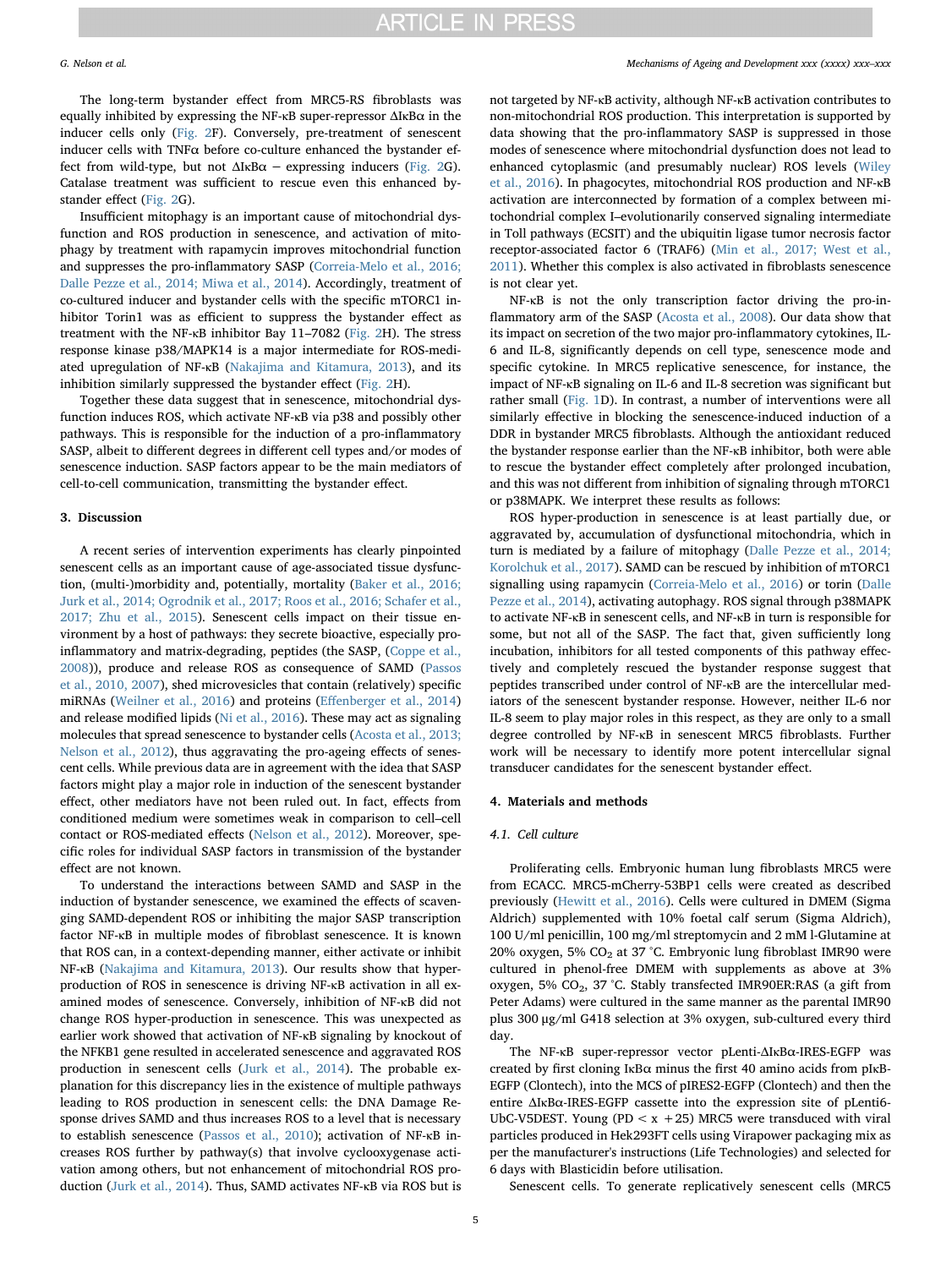The long-term bystander effect from MRC5-RS fibroblasts was equally inhibited by expressing the NF-κB super-repressor ΔIκBα in the inducer cells only ([Fig. 2F](#page-4-0)). Conversely, pre-treatment of senescent inducer cells with TNFα before co-culture enhanced the bystander effect from wild-type, but not  $\Delta I \kappa B \alpha$  – expressing inducers [\(Fig. 2G](#page-4-0)). Catalase treatment was sufficient to rescue even this enhanced bystander effect [\(Fig. 2G](#page-4-0)).

Insufficient mitophagy is an important cause of mitochondrial dysfunction and ROS production in senescence, and activation of mitophagy by treatment with rapamycin improves mitochondrial function and suppresses the pro-inflammatory SASP ([Correia-Melo et al., 2016;](#page-7-3) [Dalle Pezze et al., 2014; Miwa et al., 2014\)](#page-7-3). Accordingly, treatment of co-cultured inducer and bystander cells with the specific mTORC1 inhibitor Torin1 was as efficient to suppress the bystander effect as treatment with the NF-κB inhibitor Bay 11–7082 ([Fig. 2](#page-4-0)H). The stress response kinase p38/MAPK14 is a major intermediate for ROS-mediated upregulation of NF-κB ([Nakajima and Kitamura, 2013\)](#page-7-23), and its inhibition similarly suppressed the bystander effect ([Fig. 2](#page-4-0)H).

Together these data suggest that in senescence, mitochondrial dysfunction induces ROS, which activate NF-κB via p38 and possibly other pathways. This is responsible for the induction of a pro-inflammatory SASP, albeit to different degrees in different cell types and/or modes of senescence induction. SASP factors appear to be the main mediators of cell-to-cell communication, transmitting the bystander effect.

#### 3. Discussion

A recent series of intervention experiments has clearly pinpointed senescent cells as an important cause of age-associated tissue dysfunction, (multi-)morbidity and, potentially, mortality [\(Baker et al., 2016;](#page-7-2) [Jurk et al., 2014; Ogrodnik et al., 2017; Roos et al., 2016; Schafer et al.,](#page-7-2) [2017; Zhu et al., 2015\)](#page-7-2). Senescent cells impact on their tissue environment by a host of pathways: they secrete bioactive, especially proinflammatory and matrix-degrading, peptides (the SASP, [\(Coppe et al.,](#page-7-12) [2008\)](#page-7-12)), produce and release ROS as consequence of SAMD [\(Passos](#page-7-16) [et al., 2010, 2007](#page-7-16)), shed microvesicles that contain (relatively) specific miRNAs [\(Weilner et al., 2016](#page-7-24)) and proteins (Eff[enberger et al., 2014\)](#page-7-25) and release modified lipids ([Ni et al., 2016\)](#page-7-26). These may act as signaling molecules that spread senescence to bystander cells ([Acosta et al., 2013;](#page-6-1) [Nelson et al., 2012](#page-6-1)), thus aggravating the pro-ageing effects of senescent cells. While previous data are in agreement with the idea that SASP factors might play a major role in induction of the senescent bystander effect, other mediators have not been ruled out. In fact, effects from conditioned medium were sometimes weak in comparison to cell–cell contact or ROS-mediated effects ([Nelson et al., 2012](#page-7-14)). Moreover, specific roles for individual SASP factors in transmission of the bystander effect are not known.

To understand the interactions between SAMD and SASP in the induction of bystander senescence, we examined the effects of scavenging SAMD-dependent ROS or inhibiting the major SASP transcription factor NF-κB in multiple modes of fibroblast senescence. It is known that ROS can, in a context-depending manner, either activate or inhibit NF-κB [\(Nakajima and Kitamura, 2013](#page-7-23)). Our results show that hyperproduction of ROS in senescence is driving NF-κB activation in all examined modes of senescence. Conversely, inhibition of NF-κB did not change ROS hyper-production in senescence. This was unexpected as earlier work showed that activation of NF-κB signaling by knockout of the NFKB1 gene resulted in accelerated senescence and aggravated ROS production in senescent cells [\(Jurk et al., 2014\)](#page-7-1). The probable explanation for this discrepancy lies in the existence of multiple pathways leading to ROS production in senescent cells: the DNA Damage Response drives SAMD and thus increases ROS to a level that is necessary to establish senescence ([Passos et al., 2010](#page-7-16)); activation of NF-κB increases ROS further by pathway(s) that involve cyclooxygenase activation among others, but not enhancement of mitochondrial ROS production ([Jurk et al., 2014\)](#page-7-1). Thus, SAMD activates NF-κB via ROS but is

#### G. Nelson et al. *Mechanisms of Ageing and Development xxx (xxxx) xxx–xxx*

not targeted by NF-κB activity, although NF-κB activation contributes to non-mitochondrial ROS production. This interpretation is supported by data showing that the pro-inflammatory SASP is suppressed in those modes of senescence where mitochondrial dysfunction does not lead to enhanced cytoplasmic (and presumably nuclear) ROS levels [\(Wiley](#page-7-27) [et al., 2016](#page-7-27)). In phagocytes, mitochondrial ROS production and NF-κB activation are interconnected by formation of a complex between mitochondrial complex I–evolutionarily conserved signaling intermediate in Toll pathways (ECSIT) and the ubiquitin ligase tumor necrosis factor receptor-associated factor 6 (TRAF6) [\(Min et al., 2017; West et al.,](#page-7-28) [2011\)](#page-7-28). Whether this complex is also activated in fibroblasts senescence is not clear yet.

NF-κB is not the only transcription factor driving the pro-inflammatory arm of the SASP [\(Acosta et al., 2008\)](#page-6-0). Our data show that its impact on secretion of the two major pro-inflammatory cytokines, IL-6 and IL-8, significantly depends on cell type, senescence mode and specific cytokine. In MRC5 replicative senescence, for instance, the impact of NF-κB signaling on IL-6 and IL-8 secretion was significant but rather small [\(Fig. 1D](#page-3-0)). In contrast, a number of interventions were all similarly effective in blocking the senescence-induced induction of a DDR in bystander MRC5 fibroblasts. Although the antioxidant reduced the bystander response earlier than the NF-κB inhibitor, both were able to rescue the bystander effect completely after prolonged incubation, and this was not different from inhibition of signaling through mTORC1 or p38MAPK. We interpret these results as follows:

ROS hyper-production in senescence is at least partially due, or aggravated by, accumulation of dysfunctional mitochondria, which in turn is mediated by a failure of mitophagy ([Dalle Pezze et al., 2014;](#page-7-15) [Korolchuk et al., 2017](#page-7-15)). SAMD can be rescued by inhibition of mTORC1 signalling using rapamycin [\(Correia-Melo et al., 2016\)](#page-7-3) or torin [\(Dalle](#page-7-15) [Pezze et al., 2014](#page-7-15)), activating autophagy. ROS signal through p38MAPK to activate NF-κB in senescent cells, and NF-κB in turn is responsible for some, but not all of the SASP. The fact that, given sufficiently long incubation, inhibitors for all tested components of this pathway effectively and completely rescued the bystander response suggest that peptides transcribed under control of NF-κB are the intercellular mediators of the senescent bystander response. However, neither IL-6 nor IL-8 seem to play major roles in this respect, as they are only to a small degree controlled by NF-κB in senescent MRC5 fibroblasts. Further work will be necessary to identify more potent intercellular signal transducer candidates for the senescent bystander effect.

#### 4. Materials and methods

#### 4.1. Cell culture

Proliferating cells. Embryonic human lung fibroblasts MRC5 were from ECACC. MRC5-mCherry-53BP1 cells were created as described previously [\(Hewitt et al., 2016\)](#page-7-29). Cells were cultured in DMEM (Sigma Aldrich) supplemented with 10% foetal calf serum (Sigma Aldrich), 100 U/ml penicillin, 100 mg/ml streptomycin and 2 mM l-Glutamine at 20% oxygen, 5% CO<sub>2</sub> at 37 °C. Embryonic lung fibroblast IMR90 were cultured in phenol-free DMEM with supplements as above at 3% oxygen, 5% CO<sub>2</sub>, 37 °C. Stably transfected IMR90ER:RAS (a gift from Peter Adams) were cultured in the same manner as the parental IMR90 plus 300 μg/ml G418 selection at 3% oxygen, sub-cultured every third day.

The NF-κB super-repressor vector pLenti-ΔIκBα-IRES-EGFP was created by first cloning IκΒα minus the first 40 amino acids from pIκB-EGFP (Clontech), into the MCS of pIRES2-EGFP (Clontech) and then the entire ΔIκBα-IRES-EGFP cassette into the expression site of pLenti6- UbC-V5DEST. Young (PD  $\lt x +25$ ) MRC5 were transduced with viral particles produced in Hek293FT cells using Virapower packaging mix as per the manufacturer's instructions (Life Technologies) and selected for 6 days with Blasticidin before utilisation.

Senescent cells. To generate replicatively senescent cells (MRC5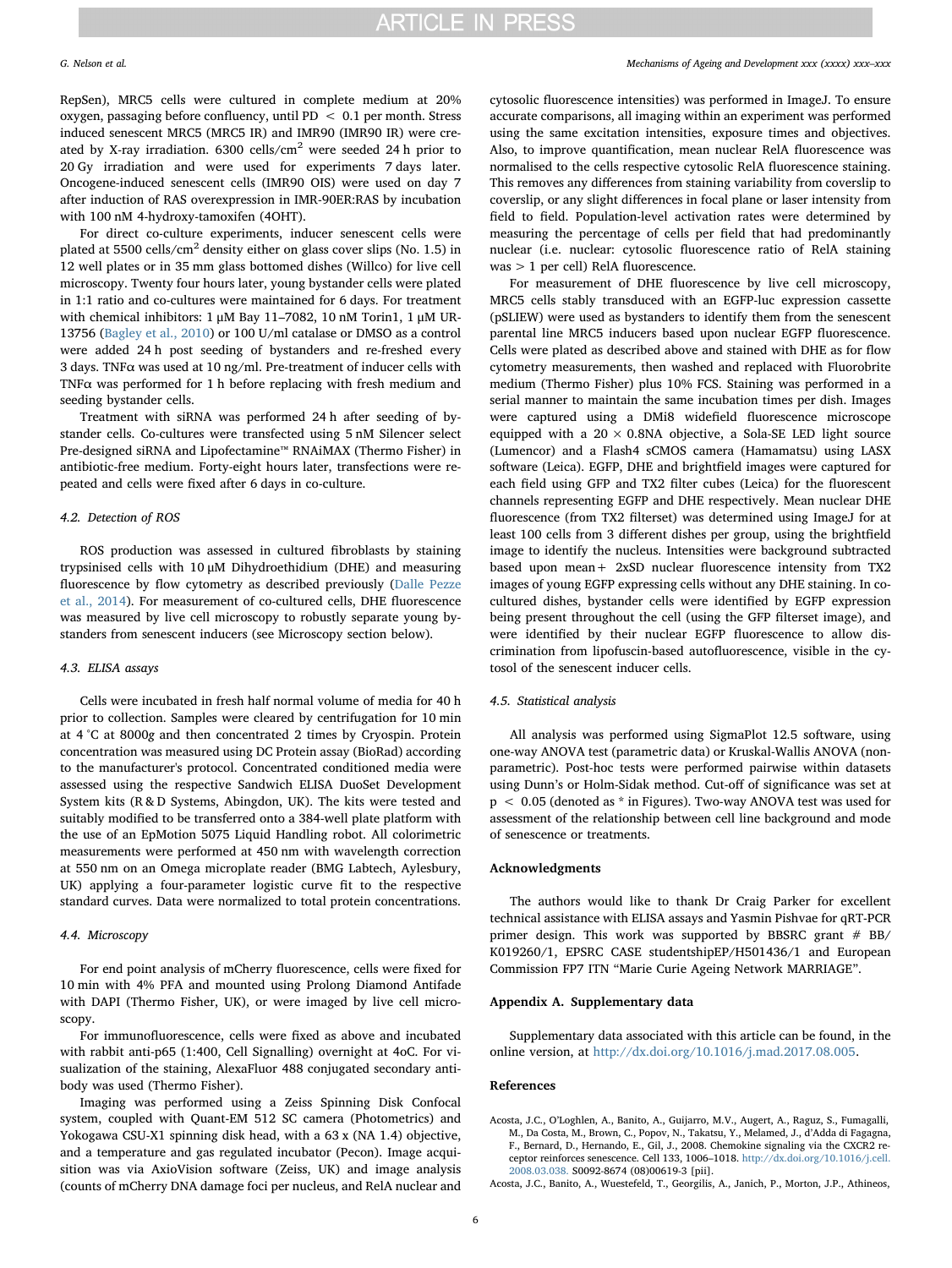RepSen), MRC5 cells were cultured in complete medium at 20% oxygen, passaging before confluency, until PD < 0.1 per month. Stress induced senescent MRC5 (MRC5 IR) and IMR90 (IMR90 IR) were created by X-ray irradiation.  $6300$  cells/cm<sup>2</sup> were seeded 24 h prior to 20 Gy irradiation and were used for experiments 7 days later. Oncogene-induced senescent cells (IMR90 OIS) were used on day 7 after induction of RAS overexpression in IMR-90ER:RAS by incubation with 100 nM 4-hydroxy-tamoxifen (4OHT).

For direct co-culture experiments, inducer senescent cells were plated at 5500 cells/cm<sup>2</sup> density either on glass cover slips (No. 1.5) in 12 well plates or in 35 mm glass bottomed dishes (Willco) for live cell microscopy. Twenty four hours later, young bystander cells were plated in 1:1 ratio and co-cultures were maintained for 6 days. For treatment with chemical inhibitors: 1 μM Bay 11-7082, 10 nM Torin1, 1 μM UR-13756 [\(Bagley et al., 2010](#page-7-30)) or 100 U/ml catalase or DMSO as a control were added 24 h post seeding of bystanders and re-freshed every 3 days. TNF $\alpha$  was used at 10 ng/ml. Pre-treatment of inducer cells with TNFα was performed for 1 h before replacing with fresh medium and seeding bystander cells.

Treatment with siRNA was performed 24 h after seeding of bystander cells. Co-cultures were transfected using 5 nM Silencer select Pre-designed siRNA and Lipofectamine™ RNAiMAX (Thermo Fisher) in antibiotic-free medium. Forty-eight hours later, transfections were repeated and cells were fixed after 6 days in co-culture.

#### 4.2. Detection of ROS

ROS production was assessed in cultured fibroblasts by staining trypsinised cells with 10 μM Dihydroethidium (DHE) and measuring fluorescence by flow cytometry as described previously [\(Dalle Pezze](#page-7-15) [et al., 2014\)](#page-7-15). For measurement of co-cultured cells, DHE fluorescence was measured by live cell microscopy to robustly separate young bystanders from senescent inducers (see Microscopy section below).

#### 4.3. ELISA assays

Cells were incubated in fresh half normal volume of media for 40 h prior to collection. Samples were cleared by centrifugation for 10 min at 4 °C at 8000g and then concentrated 2 times by Cryospin. Protein concentration was measured using DC Protein assay (BioRad) according to the manufacturer's protocol. Concentrated conditioned media were assessed using the respective Sandwich ELISA DuoSet Development System kits (R & D Systems, Abingdon, UK). The kits were tested and suitably modified to be transferred onto a 384-well plate platform with the use of an EpMotion 5075 Liquid Handling robot. All colorimetric measurements were performed at 450 nm with wavelength correction at 550 nm on an Omega microplate reader (BMG Labtech, Aylesbury, UK) applying a four-parameter logistic curve fit to the respective standard curves. Data were normalized to total protein concentrations.

#### 4.4. Microscopy

For end point analysis of mCherry fluorescence, cells were fixed for 10 min with 4% PFA and mounted using Prolong Diamond Antifade with DAPI (Thermo Fisher, UK), or were imaged by live cell microscopy.

For immunofluorescence, cells were fixed as above and incubated with rabbit anti-p65 (1:400, Cell Signalling) overnight at 4oC. For visualization of the staining, AlexaFluor 488 conjugated secondary antibody was used (Thermo Fisher).

Imaging was performed using a Zeiss Spinning Disk Confocal system, coupled with Quant-EM 512 SC camera (Photometrics) and Yokogawa CSU-X1 spinning disk head, with a 63 x (NA 1.4) objective, and a temperature and gas regulated incubator (Pecon). Image acquisition was via AxioVision software (Zeiss, UK) and image analysis (counts of mCherry DNA damage foci per nucleus, and RelA nuclear and

### G. Nelson et al. *Mechanisms of Ageing and Development xxx (xxxx) xxx–xxx*

cytosolic fluorescence intensities) was performed in ImageJ. To ensure accurate comparisons, all imaging within an experiment was performed using the same excitation intensities, exposure times and objectives. Also, to improve quantification, mean nuclear RelA fluorescence was normalised to the cells respective cytosolic RelA fluorescence staining. This removes any differences from staining variability from coverslip to coverslip, or any slight differences in focal plane or laser intensity from field to field. Population-level activation rates were determined by measuring the percentage of cells per field that had predominantly nuclear (i.e. nuclear: cytosolic fluorescence ratio of RelA staining was > 1 per cell) RelA fluorescence.

For measurement of DHE fluorescence by live cell microscopy, MRC5 cells stably transduced with an EGFP-luc expression cassette (pSLIEW) were used as bystanders to identify them from the senescent parental line MRC5 inducers based upon nuclear EGFP fluorescence. Cells were plated as described above and stained with DHE as for flow cytometry measurements, then washed and replaced with Fluorobrite medium (Thermo Fisher) plus 10% FCS. Staining was performed in a serial manner to maintain the same incubation times per dish. Images were captured using a DMi8 widefield fluorescence microscope equipped with a  $20 \times 0.8$ NA objective, a Sola-SE LED light source (Lumencor) and a Flash4 sCMOS camera (Hamamatsu) using LASX software (Leica). EGFP, DHE and brightfield images were captured for each field using GFP and TX2 filter cubes (Leica) for the fluorescent channels representing EGFP and DHE respectively. Mean nuclear DHE fluorescence (from TX2 filterset) was determined using ImageJ for at least 100 cells from 3 different dishes per group, using the brightfield image to identify the nucleus. Intensities were background subtracted based upon mean+ 2xSD nuclear fluorescence intensity from TX2 images of young EGFP expressing cells without any DHE staining. In cocultured dishes, bystander cells were identified by EGFP expression being present throughout the cell (using the GFP filterset image), and were identified by their nuclear EGFP fluorescence to allow discrimination from lipofuscin-based autofluorescence, visible in the cytosol of the senescent inducer cells.

### 4.5. Statistical analysis

All analysis was performed using SigmaPlot 12.5 software, using one-way ANOVA test (parametric data) or Kruskal-Wallis ANOVA (nonparametric). Post-hoc tests were performed pairwise within datasets using Dunn's or Holm-Sidak method. Cut-off of significance was set at p < 0.05 (denoted as \* in Figures). Two-way ANOVA test was used for assessment of the relationship between cell line background and mode of senescence or treatments.

#### Acknowledgments

The authors would like to thank Dr Craig Parker for excellent technical assistance with ELISA assays and Yasmin Pishvae for qRT-PCR primer design. This work was supported by BBSRC grant # BB/ K019260/1, EPSRC CASE studentshipEP/H501436/1 and European Commission FP7 ITN "Marie Curie Ageing Network MARRIAGE".

#### Appendix A. Supplementary data

Supplementary data associated with this article can be found, in the online version, at [http://dx.doi.org/10.1016/j.mad.2017.08.005.](http://dx.doi.org/10.1016/j.mad.2017.08.005)

#### References

- <span id="page-6-0"></span>Acosta, J.C., O'Loghlen, A., Banito, A., Guijarro, M.V., Augert, A., Raguz, S., Fumagalli, M., Da Costa, M., Brown, C., Popov, N., Takatsu, Y., Melamed, J., d'Adda di Fagagna, F., Bernard, D., Hernando, E., Gil, J., 2008. Chemokine signaling via the CXCR2 receptor reinforces senescence. Cell 133, 1006–1018. [http://dx.doi.org/10.1016/j.cell.](http://dx.doi.org/10.1016/j.cell.2008.03.038) 2008.03.038. [S0092-8674 \(08\)00619-3 \[pii\]](http://dx.doi.org/10.1016/j.cell.2008.03.038).
- <span id="page-6-1"></span>Acosta, J.C., Banito, A., Wuestefeld, T., Georgilis, A., Janich, P., Morton, J.P., Athineos,